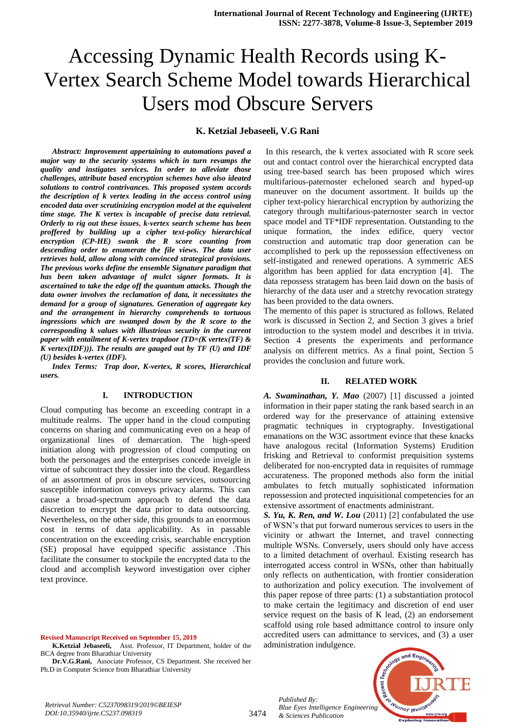# Accessing Dynamic Health Records using K-Vertex Search Scheme Model towards Hierarchical Users mod Obscure Servers

#### **K. Ketzial Jebaseeli, V.G Rani**

*Abstract: Improvement appertaining to automations paved a major way to the security systems which in turn revamps the quality and instigates services. In order to alleviate those challenges, attribute based encryption schemes have also ideated solutions to control contrivances. This proposed system accords the description of k vertex leading in the access control using encoded data over scrutinizing encryption model at the equivalent time stage. The K vertex is incapable of precise data retrieval. Orderly to rig out these issues, k-vertex search scheme has been proffered by building up a cipher text-policy hierarchical encryption (CP-HE) swank the R score counting from descending order to enumerate the file views. The data user retrieves hold, allow along with convinced strategical provisions. The previous works define the ensemble Signature paradigm that has been taken advantage of mulct signer formats. It is ascertained to take the edge off the quantum attacks. Though the data owner involves the reclamation of data, it necessitates the demand for a group of signatures. Generation of aggregate key and the arrangement in hierarchy comprehends to tortuous ingressions which are swamped down by the R score to the corresponding k values with illustrious security in the current paper with entailment of K-vertex trapdoor (TD=(K vertex(TF) & K vertex(IDF))). The results are gauged out by TF (U) and IDF (U) besides k-vertex (IDF).*

*Index Terms: Trap door, K-vertex, R scores, Hierarchical users.*

#### **I. INTRODUCTION**

Cloud computing has become an exceeding contrapt in a multitude realms. The upper hand in the cloud computing concerns on sharing and communicating even on a heap of organizational lines of demarcation. The high-speed initiation along with progression of cloud computing on both the personages and the enterprises concede inveigle in virtue of subcontract they dossier into the cloud. Regardless of an assortment of pros in obscure services, outsourcing susceptible information conveys privacy alarms. This can cause a broad-spectrum approach to defend the data discretion to encrypt the data prior to data outsourcing. Nevertheless, on the other side, this grounds to an enormous cost in terms of data applicability. As in passable concentration on the exceeding crisis, searchable encryption (SE) proposal have equipped specific assistance .This facilitate the consumer to stockpile the encrypted data to the cloud and accomplish keyword investigation over cipher text province.

**Revised Manuscript Received on September 15, 2019**

In this research, the k vertex associated with R score seek out and contact control over the hierarchical encrypted data using tree-based search has been proposed which wires multifarious-paternoster echeloned search and hyped-up maneuver on the document assortment. It builds up the cipher text-policy hierarchical encryption by authorizing the category through multifarious-paternoster search in vector space model and TF\*IDF representation. Outstanding to the unique formation, the index edifice, query vector construction and automatic trap door generation can be accomplished to perk up the repossession effectiveness on self-instigated and renewed operations. A symmetric AES algorithm has been applied for data encryption [4]. The data repossess stratagem has been laid down on the basis of hierarchy of the data user and a stretchy revocation strategy has been provided to the data owners.

The memento of this paper is structured as follows. Related work is discussed in Section 2, and Section 3 gives a brief introduction to the system model and describes it in trivia. Section 4 presents the experiments and performance analysis on different metrics. As a final point, Section 5 provides the conclusion and future work.

#### **II. RELATED WORK**

*A. Swaminathan, Y. Mao* (2007) [1] discussed a jointed information in their paper stating the rank based search in an ordered way for the preservance of attaining extensive pragmatic techniques in cryptography. Investigational emanations on the W3C assortment evince that these knacks have analogous recital (Information Systems) Erudition frisking and Retrieval to conformist prequisition systems deliberated for non-encrypted data in requisites of rummage accurateness. The proponed methods also form the initial ambulates to fetch mutually sophisticated information repossession and protected inquisitional competencies for an extensive assortment of enactments administrant.

*S. Yu, K. Ren, and W. Lou* (2011) [2] confabulated the use of WSN's that put forward numerous services to users in the vicinity or athwart the Internet, and travel connecting multiple WSNs. Conversely, users should only have access to a limited detachment of overhaul. Existing research has interrogated access control in WSNs, other than habitually only reflects on authentication, with frontier consideration to authorization and policy execution. The involvement of this paper repose of three parts: (1) a substantiation protocol to make certain the legitimacy and discretion of end user service request on the basis of K lead, (2) an endorsement scaffold using role based admittance control to insure only accredited users can admittance to services, and (3) a user administration indulgence.

*Published By: Blue Eyes Intelligence Engineering & Sciences Publication* 

3474



**K.Ketzial Jebaseeli,** Asst. Professor, IT Department, holder of the BCA degree from Bharathiar University

**Dr.V.G.Rani,** Associate Professor, CS Department. She received her Ph.D in Computer Science from Bharathiar University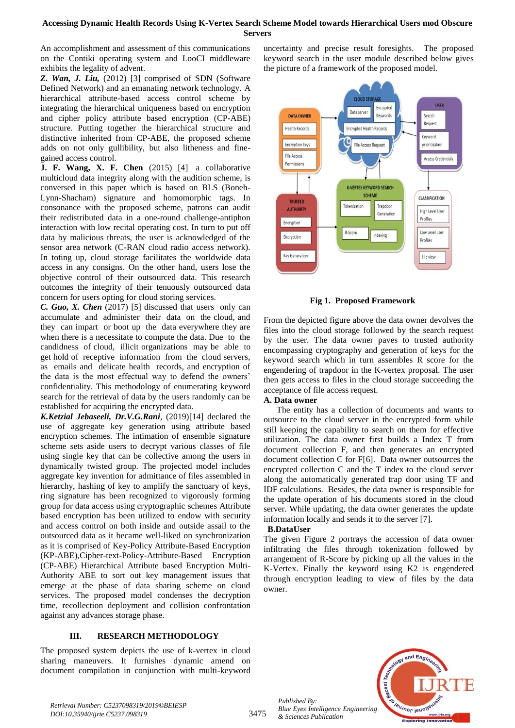# **Accessing Dynamic Health Records Using K-Vertex Search Scheme Model towards Hierarchical Users mod Obscure Servers**

An accomplishment and assessment of this communications on the Contiki operating system and LooCI middleware exhibits the legality of advent.

*Z. Wan, J. Liu,* (2012) [3] comprised of SDN (Software Defined Network) and an emanating network technology. A hierarchical attribute-based access control scheme by integrating the hierarchical uniqueness based on encryption and cipher policy attribute based encryption (CP-ABE) structure. Putting together the hierarchical structure and distinctive inherited from CP-ABE, the proposed scheme adds on not only gullibility, but also litheness and finegained access control.

**J. F. Wang, X. F. Chen** (2015) [4] a collaborative multicloud data integrity along with the audition scheme, is conversed in this paper which is based on BLS (Boneh-Lynn-Shacham) signature and homomorphic tags. In consonance with the proposed scheme, patrons can audit their redistributed data in a one-round challenge-antiphon interaction with low recital operating cost. In turn to put off data by malicious threats, the user is acknowledged of the sensor area network (C-RAN cloud radio access network). In toting up, cloud storage facilitates the worldwide data access in any consigns. On the other hand, users lose the objective control of their outsourced data. This research outcomes the integrity of their tenuously outsourced data concern for users opting for cloud storing services.

*C. Guo, X. Chen* (2017) [5] discussed that users only can accumulate and administer their data on the cloud, and they can impart or boot up the data everywhere they are when there is a necessitate to compute the data. Due to the candidness of cloud, illicit organizations may be able to get hold of receptive information from the cloud servers, as emails and delicate health records, and encryption of the data is the most effectual way to defend the owners' confidentiality. This methodology of enumerating keyword search for the retrieval of data by the users randomly can be established for acquiring the encrypted data.

*K.Ketzial Jebaseeli, Dr.V.G.Rani*, (2019)[14] declared the use of aggregate key generation using attribute based encryption schemes. The intimation of ensemble signature scheme sets aside users to decrypt various classes of file using single key that can be collective among the users in dynamically twisted group. The projected model includes aggregate key invention for admittance of files assembled in hierarchy, hashing of key to amplify the sanctuary of keys, ring signature has been recognized to vigorously forming group for data access using cryptographic schemes Attribute based encryption has been utilized to endow with security and access control on both inside and outside assail to the outsourced data as it became well-liked on synchronization as it is comprised of Key-Policy Attribute-Based Encryption (KP-ABE),Cipher-text-Policy-Attribute-Based Encryption (CP-ABE) Hierarchical Attribute based Encryption Multi-Authority ABE to sort out key management issues that emerge at the phase of data sharing scheme on cloud services. The proposed model condenses the decryption time, recollection deployment and collision confrontation against any advances storage phase.

# **III. RESEARCH METHODOLOGY**

The proposed system depicts the use of k-vertex in cloud sharing maneuvers. It furnishes dynamic amend on document compilation in conjunction with multi-keyword

uncertainty and precise result foresights. The proposed keyword search in the user module described below gives the picture of a framework of the proposed model.



**Fig 1. Proposed Framework**

From the depicted figure above the data owner devolves the files into the cloud storage followed by the search request by the user. The data owner paves to trusted authority encompassing cryptography and generation of keys for the keyword search which in turn assembles R score for the engendering of trapdoor in the K-vertex proposal. The user then gets access to files in the cloud storage succeeding the acceptance of file access request.

## **A. Data owner**

 The entity has a collection of documents and wants to outsource to the cloud server in the encrypted form while still keeping the capability to search on them for effective utilization. The data owner first builds a Index T from document collection F, and then generates an encrypted document collection C for F[6]. Data owner outsources the encrypted collection C and the T index to the cloud server along the automatically generated trap door using TF and IDF calculations. Besides, the data owner is responsible for the update operation of his documents stored in the cloud server. While updating, the data owner generates the update information locally and sends it to the server [7].

## **B.DataUser**

The given Figure 2 portrays the accession of data owner infiltrating the files through tokenization followed by arrangement of R-Score by picking up all the values in the K-Vertex. Finally the keyword using K2 is engendered through encryption leading to view of files by the data owner.



*Published By:*

*& Sciences Publication*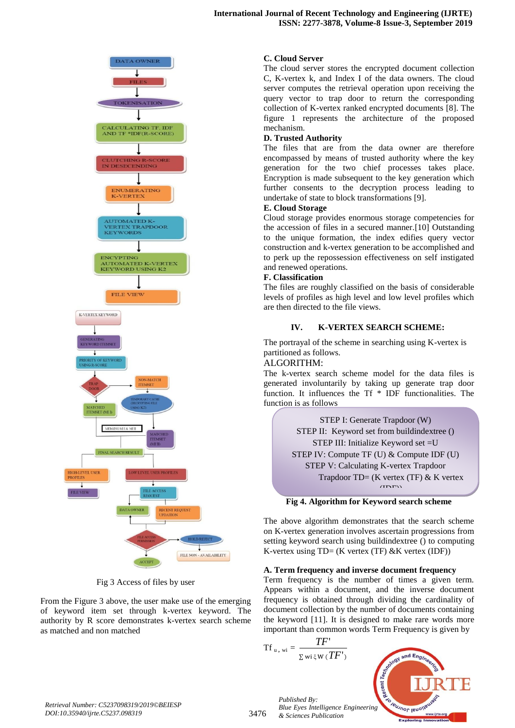



Fig 3 Access of files by user

From the Figure 3 above, the user make use of the emerging of keyword item set through k-vertex keyword. The authority by R score demonstrates k-vertex search scheme as matched and non matched

#### **C. Cloud Server**

The cloud server stores the encrypted document collection C, K-vertex k, and Index I of the data owners. The cloud server computes the retrieval operation upon receiving the query vector to trap door to return the corresponding collection of K-vertex ranked encrypted documents [8]. The figure 1 represents the architecture of the proposed mechanism.

# **D. Trusted Authority**

The files that are from the data owner are therefore encompassed by means of trusted authority where the key generation for the two chief processes takes place. Encryption is made subsequent to the key generation which further consents to the decryption process leading to undertake of state to block transformations [9].

#### **E. Cloud Storage**

Cloud storage provides enormous storage competencies for the accession of files in a secured manner.[10] Outstanding to the unique formation, the index edifies query vector construction and k-vertex generation to be accomplished and to perk up the repossession effectiveness on self instigated and renewed operations.

#### **F. Classification**

The files are roughly classified on the basis of considerable levels of profiles as high level and low level profiles which are then directed to the file views.

## **IV. K-VERTEX SEARCH SCHEME:**

The portrayal of the scheme in searching using K-vertex is partitioned as follows.

#### ALGORITHM:

The k-vertex search scheme model for the data files is generated involuntarily by taking up generate trap door function. It influences the Tf \* IDF functionalities. The function is as follows



#### **Fig 4. Algorithm for Keyword search scheme**

The above algorithm demonstrates that the search scheme on K-vertex generation involves ascertain progressions from setting keyword search using buildindextree () to computing K-vertex using  $TD = (K \text{ vertex } (TF) \& K \text{ vertex } (IDF))$ 

#### **A. Term frequency and inverse document frequency**

Term frequency is the number of times a given term. Appears within a document, and the inverse document frequency is obtained through dividing the cardinality of document collection by the number of documents containing the keyword [11]. It is designed to make rare words more important than common words Term Frequency is given by

$$
Tf_{u, wi} = \frac{TF'}{\sum wi \xi w (TF')}
$$



*Retrieval Number: C5237098319/2019©BEIESP DOI:10.35940/ijrte.C5237.098319*

3476

*Published By: Blue Eyes Intelligence Engineering & Sciences Publication*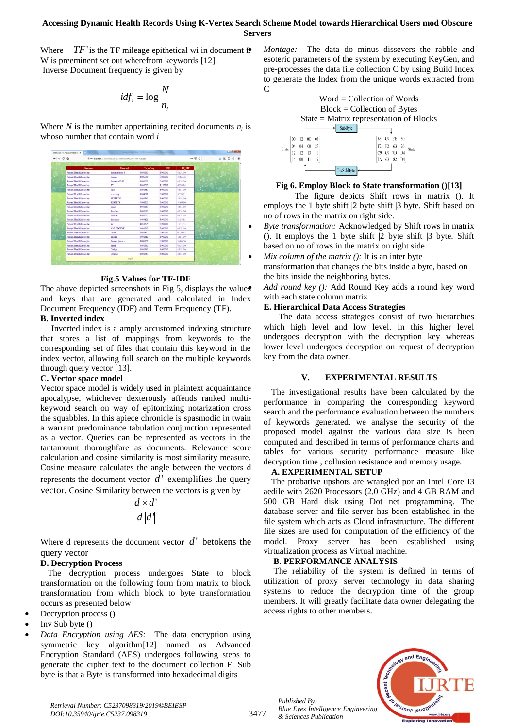## **Accessing Dynamic Health Records Using K-Vertex Search Scheme Model towards Hierarchical Users mod Obscure Servers**

Where  $TF'$  is the TF mileage epithetical wi in document  $f$ . W is preeminent set out wherefrom keywords [12]. Inverse Document frequency is given by

$$
idf_i = \log \frac{N}{n_i}
$$

Where  $N$  is the number appertaining recited documents  $n_i$  is whoso number that contain word *i*



#### **Fig.5 Values for TF-IDF**

The above depicted screenshots in Fig 5, displays the values and keys that are generated and calculated in Index Document Frequency (IDF) and Term Frequency (TF).

# **B. Inverted index**

 Inverted index is a amply accustomed indexing structure that stores a list of mappings from keywords to the corresponding set of files that contain this keyword in the index vector, allowing full search on the multiple keywords through query vector [13].

## **C. Vector space model**

Vector space model is widely used in plaintext acquaintance apocalypse, whichever dexterously affends ranked multikeyword search on way of epitomizing notarization cross the squabbles. In this apiece chronicle is spasmodic in twain a warrant predominance tabulation conjunction represented as a vector. Queries can be represented as vectors in the tantamount thoroughfare as documents. Relevance score calculation and cosine similarity is most similarity measure. Cosine measure calculates the angle between the vectors d represents the document vector  $d'$  exemplifies the query vector. Cosine Similarity between the vectors is given by

$$
\frac{d \times d'}{|d||d'|}
$$

Where  $d$  represents the document vector  $d'$  betokens the query vector

# **D. Decryption Process**

 The decryption process undergoes State to block transformation on the following form from matrix to block transformation from which block to byte transformation occurs as presented below

- Decryption process ()
- Inv Sub byte ()
- *Data Encryption using AES:*The data encryption using symmetric key algorithm[12] named as Advanced Encryption Standard (AES) undergoes following steps to generate the cipher text to the document collection F. Sub byte is that a Byte is transformed into hexadecimal digits

 *Montage:* The data do minus dissevers the rabble and esoteric parameters of the system by executing KeyGen, and pre-processes the data file collection C by using Build Index to generate the Index from the unique words extracted from C



# **Fig 6. Employ Block to State transformation ()[13]**

The figure depicts Shift rows in matrix (). It employs the 1 byte shift |2 byte shift |3 byte. Shift based on no of rows in the matrix on right side.

- *Byte transformation:* Acknowledged by Shift rows in matrix (). It employs the 1 byte shift |2 byte shift |3 byte. Shift based on no of rows in the matrix on right side
- *Mix column of the matrix ():* It is an inter byte

transformation that changes the bits inside a byte, based on the bits inside the neighboring bytes.

 *Add round key ():* Add Round Key adds a round key word with each state column matrix

# **E. Hierarchical Data Access Strategies**

The data access strategies consist of two hierarchies which high level and low level. In this higher level undergoes decryption with the decryption key whereas lower level undergoes decryption on request of decryption key from the data owner.

# **V. EXPERIMENTAL RESULTS**

The investigational results have been calculated by the performance in comparing the corresponding keyword search and the performance evaluation between the numbers of keywords generated. we analyse the security of the proposed model against the various data size is been computed and described in terms of performance charts and tables for various security performance measure like decryption time , collusion resistance and memory usage.

# **A. EXPERIMENTAL SETUP**

The probative upshots are wrangled por an Intel Core I3 aedile with 2620 Processors (2.0 GHz) and 4 GB RAM and 500 GB Hard disk using Dot net programming. The database server and file server has been established in the file system which acts as Cloud infrastructure. The different file sizes are used for computation of the efficiency of the model. Proxy server has been established using virtualization process as Virtual machine.

# **B. PERFORMANCE ANALYSIS**

The reliability of the system is defined in terms of utilization of proxy server technology in data sharing systems to reduce the decryption time of the group members. It will greatly facilitate data owner delegating the access rights to other members.



*Retrieval Number: C5237098319/2019©BEIESP DOI:10.35940/ijrte.C5237.098319*

*Published By:*

*& Sciences Publication*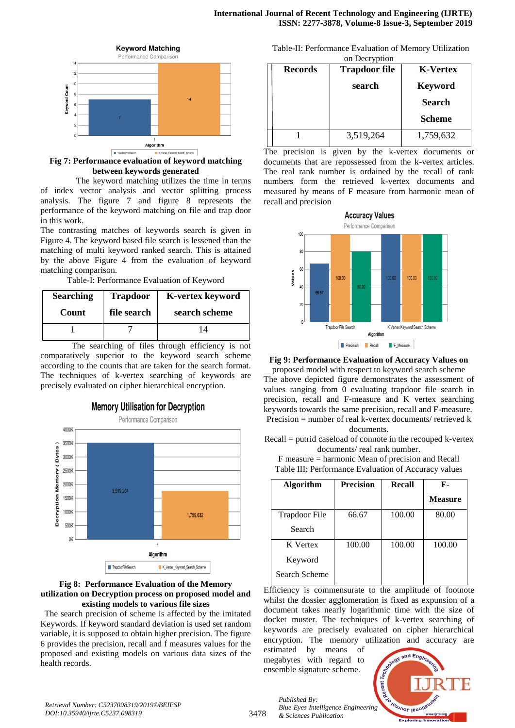

**Fig 7: Performance evaluation of keyword matching between keywords generated** 

 The keyword matching utilizes the time in terms of index vector analysis and vector splitting process analysis. The figure 7 and figure 8 represents the performance of the keyword matching on file and trap door in this work.

The contrasting matches of keywords search is given in Figure 4. The keyword based file search is lessened than the matching of multi keyword ranked search. This is attained by the above Figure 4 from the evaluation of keyword matching comparison.

Table-I: Performance Evaluation of Keyword

| <b>Searching</b> | <b>Trapdoor</b><br><b>K-vertex keyword</b> |               |
|------------------|--------------------------------------------|---------------|
| Count            | file search                                | search scheme |
|                  |                                            |               |

The searching of files through efficiency is not comparatively superior to the keyword search scheme according to the counts that are taken for the search format. The techniques of k-vertex searching of keywords are precisely evaluated on cipher hierarchical encryption.



#### **Fig 8: Performance Evaluation of the Memory utilization on Decryption process on proposed model and existing models to various file sizes**

The search precision of scheme is affected by the imitated Keywords. If keyword standard deviation is used set random variable, it is supposed to obtain higher precision. The figure 6 provides the precision, recall and f measures values for the proposed and existing models on various data sizes of the health records.

Table-II: Performance Evaluation of Memory Utilization

| on Decryption  |                      |                 |  |  |  |  |
|----------------|----------------------|-----------------|--|--|--|--|
| <b>Records</b> | <b>Trapdoor file</b> | <b>K-Vertex</b> |  |  |  |  |
|                | search               | <b>Keyword</b>  |  |  |  |  |
|                |                      | Search          |  |  |  |  |
|                |                      | <b>Scheme</b>   |  |  |  |  |
|                | 3,519,264            | 1,759,632       |  |  |  |  |

The precision is given by the k-vertex documents or documents that are repossessed from the k-vertex articles. The real rank number is ordained by the recall of rank numbers form the retrieved k-vertex documents and measured by means of F measure from harmonic mean of recall and precision



## **Fig 9: Performance Evaluation of Accuracy Values on**

proposed model with respect to keyword search scheme The above depicted figure demonstrates the assessment of values ranging from 0 evaluating trapdoor file search in precision, recall and F-measure and K vertex searching keywords towards the same precision, recall and F-measure. Precision = number of real k-vertex documents/ retrieved k documents.

Recall = putrid caseload of connote in the recouped k-vertex documents/ real rank number.

F measure = harmonic Mean of precision and Recall Table III: Performance Evaluation of Accuracy values

| <b>Algorithm</b> | <b>Precision</b> | Recall | F-             |
|------------------|------------------|--------|----------------|
|                  |                  |        | <b>Measure</b> |
| Trapdoor File    | 66.67            | 100.00 | 80.00          |
| Search           |                  |        |                |
| K Vertex         | 100.00           | 100.00 | 100.00         |
| Keyword          |                  |        |                |
| Search Scheme    |                  |        |                |

Efficiency is commensurate to the amplitude of footnote whilst the dossier agglomeration is fixed as expunsion of a document takes nearly logarithmic time with the size of docket muster. The techniques of k-vertex searching of keywords are precisely evaluated on cipher hierarchical encryption. The memory utilization and accuracy are

estimated by means of megabytes with regard to ensemble signature scheme.



*Retrieval Number: C5237098319/2019©BEIESP DOI:10.35940/ijrte.C5237.098319*

*Published By: Blue Eyes Intelligence Engineering & Sciences Publication*